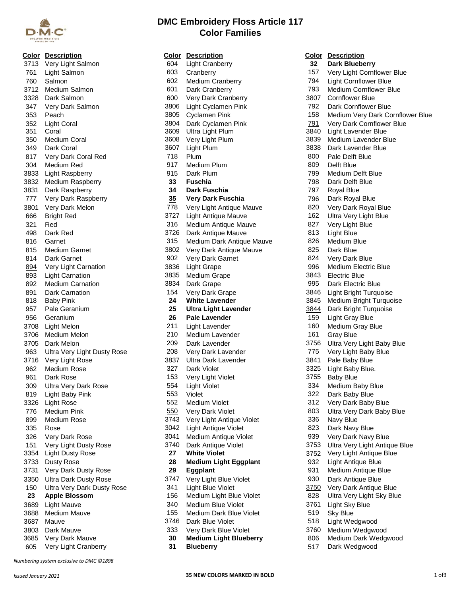

| Color | <b>Description</b>                 | <u>(</u>             |
|-------|------------------------------------|----------------------|
| 3713  | Very Light Salmon                  |                      |
| 761   | Light Salmon                       |                      |
| 760   | Salmon                             |                      |
|       | 3712 Medium Salmon                 |                      |
|       | 3328 Dark Salmon                   |                      |
| 347   | Very Dark Salmon                   |                      |
|       | 353 Peach                          |                      |
|       | 352 Light Coral                    |                      |
| 351   | Coral                              | こくさく アルファン           |
| 350   | <b>Medium Coral</b>                |                      |
|       | 349 Dark Coral                     |                      |
|       | 817 Very Dark Coral Red            |                      |
|       | 304 Medium Red                     |                      |
|       | 3833 Light Raspberry               |                      |
|       | 3832 Medium Raspberry              |                      |
| 3831  | Dark Raspberry                     |                      |
| 777   | Very Dark Raspberry                |                      |
| 3801  | Very Dark Melon                    |                      |
| 666   | <b>Bright Red</b>                  | $\ddot{\phantom{0}}$ |
| 321   | Red                                |                      |
| 498   | Dark Red                           | $\ddot{\phantom{0}}$ |
| 816   | Garnet                             |                      |
| 815   | <b>Medium Garnet</b>               | €                    |
| 814   | Dark Garnet                        |                      |
| 894   | Very Light Carnation               |                      |
| 893   | <b>Light Carnation</b>             | ミミニ                  |
| 892 - | <b>Medium Carnation</b>            |                      |
| 891   | Dark Carnation                     |                      |
| 818   | <b>Baby Pink</b>                   |                      |
| 957   | Pale Geranium                      |                      |
| 956   | Geranium                           |                      |
| 3708  | Light Melon                        |                      |
| 3706  | Medium Melon                       |                      |
| 3705  | Dark Melon                         |                      |
| 963   | <b>Ultra Very Light Dusty Rose</b> |                      |
| 3716  | Very Light Rose                    | $\ddot{\phantom{0}}$ |
| 962   | <b>Medium Rose</b>                 |                      |
| 961   | Dark Rose                          |                      |
| 309   | <b>Ultra Very Dark Rose</b>        |                      |
| 819   | Light Baby Pink                    |                      |
| 3326  | <b>Light Rose</b>                  |                      |
| 776   | <b>Medium Pink</b>                 |                      |
| 899   | Medium Rose                        |                      |
| 335   | Rose                               |                      |
| 326   | Very Dark Rose                     |                      |
| 151   | Very Light Dusty Rose              |                      |
| 3354  | <b>Light Dusty Rose</b>            |                      |
| 3733  | Dusty Rose                         |                      |
| 3731  | Very Dark Dusty Rose               |                      |
| 3350  | <b>Ultra Dark Dusty Rose</b>       | $\ddot{\phantom{0}}$ |
| 150   | Ultra Very Dark Dusty Rose         |                      |
| 23    | <b>Apple Blossom</b>               |                      |
| 3689  | Light Mauve                        |                      |
| 3688  | <b>Medium Mauve</b>                |                      |
| 3687  | Mauve                              | €                    |
| 3803  | Dark Mauve                         |                      |
| 3685  | Very Dark Mauve                    |                      |
| 605   | Very Light Cranberry               |                      |

**DMC Embroidery Floss Article 117 Color Families**

|      | <b>Color</b> Description     |      | <b>Color Description</b>      |      | <b>Color Description</b>       |
|------|------------------------------|------|-------------------------------|------|--------------------------------|
| 3713 | Very Light Salmon            | 604  | <b>Light Cranberry</b>        | 32   | <b>Dark Blueberry</b>          |
| 761  | Light Salmon                 | 603  | Cranberry                     | 157  | Very Light Cornflower Blue     |
| 760  | Salmon                       | 602  | Medium Cranberry              | 794  | <b>Light Cornflower Blue</b>   |
| 3712 | Medium Salmon                | 601  | Dark Cranberry                | 793  | Medium Cornflower Blue         |
| 3328 | Dark Salmon                  | 600  | Very Dark Cranberry           | 3807 | <b>Cornflower Blue</b>         |
| 347  | Very Dark Salmon             | 3806 | Light Cyclamen Pink           | 792  | Dark Cornflower Blue           |
| 353  | Peach                        | 3805 | <b>Cyclamen Pink</b>          | 158  | Medium Very Dark Cornflo       |
| 352  | <b>Light Coral</b>           | 3804 | Dark Cyclamen Pink            | 791  | Very Dark Cornflower Blue      |
| 351  | Coral                        | 3609 | Ultra Light Plum              | 3840 | Light Lavender Blue            |
| 350  | <b>Medium Coral</b>          | 3608 | Very Light Plum               | 3839 | Medium Lavender Blue           |
| 349  | Dark Coral                   | 3607 | Light Plum                    | 3838 | Dark Lavender Blue             |
| 817  | Very Dark Coral Red          | 718  | Plum                          | 800  | Pale Delft Blue                |
| 304  | Medium Red                   | 917  | Medium Plum                   | 809  | Delft Blue                     |
| 3833 | <b>Light Raspberry</b>       | 915  | Dark Plum                     | 799  | Medium Delft Blue              |
| 3832 | Medium Raspberry             | 33   | <b>Fuschia</b>                | 798  | Dark Delft Blue                |
| 3831 | Dark Raspberry               | 34   | Dark Fuschia                  | 797  | Royal Blue                     |
| 777  |                              | 35   |                               | 796  |                                |
|      | Very Dark Raspberry          |      | <b>Very Dark Fuschia</b>      |      | Dark Royal Blue                |
| 3801 | Very Dark Melon              | 778  | Very Light Antique Mauve      | 820  | Very Dark Royal Blue           |
| 666  | <b>Bright Red</b>            | 3727 | <b>Light Antique Mauve</b>    | 162  | Ultra Very Light Blue          |
| 321  | Red                          | 316  | Medium Antique Mauve          | 827  | Very Light Blue                |
| 498  | Dark Red                     | 3726 | Dark Antique Mauve            | 813  | Light Blue                     |
| 816  | Garnet                       | 315  | Medium Dark Antique Mauve     | 826  | Medium Blue                    |
| 815  | <b>Medium Garnet</b>         | 3802 | Very Dark Antique Mauve       | 825  | Dark Blue                      |
| 814  | Dark Garnet                  | 902  | Very Dark Garnet              | 824  | Very Dark Blue                 |
| 894  | Very Light Carnation         | 3836 | Light Grape                   | 996  | <b>Medium Electric Blue</b>    |
| 893  | <b>Light Carnation</b>       | 3835 | Medium Grape                  | 3843 | <b>Electric Blue</b>           |
| 892  | <b>Medium Carnation</b>      | 3834 | Dark Grape                    | 995  | Dark Electric Blue             |
| 891  | <b>Dark Carnation</b>        | 154  | Very Dark Grape               | 3846 | <b>Light Bright Turquoise</b>  |
| 818  | <b>Baby Pink</b>             | 24   | <b>White Lavender</b>         | 3845 | <b>Medium Bright Turquoise</b> |
| 957  | Pale Geranium                | 25   | <b>Ultra Light Lavender</b>   | 3844 | Dark Bright Turquoise          |
| 956  | Geranium                     | 26   | <b>Pale Lavender</b>          | 159  | <b>Light Gray Blue</b>         |
| 3708 | Light Melon                  | 211  | Light Lavender                | 160  | Medium Gray Blue               |
| 3706 | <b>Medium Melon</b>          | 210  | Medium Lavender               | 161  | <b>Gray Blue</b>               |
| 3705 | Dark Melon                   | 209  | Dark Lavender                 | 3756 | Ultra Very Light Baby Blue     |
| 963  | Ultra Very Light Dusty Rose  | 208  | Very Dark Lavender            | 775  | Very Light Baby Blue           |
| 3716 | Very Light Rose              | 3837 | Ultra Dark Lavender           | 3841 | Pale Baby Blue                 |
| 962  | <b>Medium Rose</b>           | 327  | Dark Violet                   | 3325 | Light Baby Blue.               |
| 961  | Dark Rose                    | 153  | Very Light Violet             | 3755 | <b>Baby Blue</b>               |
|      |                              | 554  |                               | 334  |                                |
| 309  | <b>Ultra Very Dark Rose</b>  |      | <b>Light Violet</b>           |      | Medium Baby Blue               |
| 819  | Light Baby Pink              | 553  | Violet                        | 322  | Dark Baby Blue                 |
| 3326 | <b>Light Rose</b>            | 552  | Medium Violet                 | 312  | Very Dark Baby Blue            |
| 776  | Medium Pink                  | 550  | Very Dark Violet              | 803  | Ultra Very Dark Baby Blue      |
| 899  | Medium Rose                  | 3743 | Very Light Antique Violet     | 336  | Navy Blue                      |
| 335  | Rose                         | 3042 | Light Antique Violet          | 823  | Dark Navy Blue                 |
| 326  | Very Dark Rose               | 3041 | Medium Antique Violet         | 939  | Very Dark Navy Blue            |
| 151  | Very Light Dusty Rose        | 3740 | Dark Antique Violet           | 3753 | Ultra Very Light Antique Bl    |
| 3354 | <b>Light Dusty Rose</b>      | 27   | <b>White Violet</b>           | 3752 | Very Light Antique Blue        |
| 3733 | Dusty Rose                   | 28   | <b>Medium Light Eggplant</b>  | 932  | Light Antique Blue             |
| 3731 | Very Dark Dusty Rose         | 29   | <b>Eggplant</b>               | 931  | Medium Antique Blue            |
| 3350 | <b>Ultra Dark Dusty Rose</b> | 3747 | Very Light Blue Violet        | 930  | Dark Antique Blue              |
| 150  | Ultra Very Dark Dusty Rose   | 341  | Light Blue Violet             | 3750 | Very Dark Antique Blue         |
| 23   | <b>Apple Blossom</b>         | 156  | Medium Light Blue Violet      | 828  | Ultra Very Light Sky Blue      |
| 3689 | <b>Light Mauve</b>           | 340  | Medium Blue Violet            | 3761 | Light Sky Blue                 |
| 3688 | Medium Mauve                 | 155  | Medium Dark Blue Violet       | 519  | <b>Sky Blue</b>                |
| 3687 | Mauve                        | 3746 | Dark Blue Violet              | 518  | Light Wedgwood                 |
| 3803 | Dark Mauve                   | 333  | Very Dark Blue Violet         | 3760 | Medium Wedgwood                |
| 3685 | Very Dark Mauve              | 30   | <b>Medium Light Blueberry</b> | 806  | Medium Dark Wedgwood           |
|      |                              |      |                               |      |                                |

|            | <u><b>Color</b></u> Description    |      | <b>Color Description</b>      |      | <b>Color Description</b>         |
|------------|------------------------------------|------|-------------------------------|------|----------------------------------|
|            | 3713 Very Light Salmon             | 604  | <b>Light Cranberry</b>        | 32   | <b>Dark Blueberry</b>            |
| 761        | Light Salmon                       | 603  | Cranberry                     | 157  | Very Light Cornflower Blue       |
| 760        | Salmon                             | 602  | Medium Cranberry              | 794  | <b>Light Cornflower Blue</b>     |
|            | 3712 Medium Salmon                 | 601  | Dark Cranberry                | 793  | Medium Cornflower Blue           |
| 3328       | Dark Salmon                        | 600  | Very Dark Cranberry           | 3807 | <b>Cornflower Blue</b>           |
| 347        | Very Dark Salmon                   | 3806 | Light Cyclamen Pink           | 792  | Dark Cornflower Blue             |
| 353        | Peach                              | 3805 | Cyclamen Pink                 | 158  | Medium Very Dark Cornflower Blue |
| 352        | <b>Light Coral</b>                 | 3804 | Dark Cyclamen Pink            | 791  | Very Dark Cornflower Blue        |
| 351        | Coral                              | 3609 | Ultra Light Plum              | 3840 | Light Lavender Blue              |
| 350        | Medium Coral                       | 3608 | Very Light Plum               | 3839 | Medium Lavender Blue             |
| 349        | Dark Coral                         | 3607 | Light Plum                    | 3838 | Dark Lavender Blue               |
| 817        | Very Dark Coral Red                | 718  | Plum                          | 800  | Pale Delft Blue                  |
| 304        | Medium Red                         | 917  | <b>Medium Plum</b>            | 809  | Delft Blue                       |
| 3833       | <b>Light Raspberry</b>             | 915  | Dark Plum                     | 799  | <b>Medium Delft Blue</b>         |
| 3832       | Medium Raspberry                   | 33   | <b>Fuschia</b>                | 798  | Dark Delft Blue                  |
| 3831       | Dark Raspberry                     | 34   | Dark Fuschia                  | 797  | Royal Blue                       |
| 777        | Very Dark Raspberry                | 35   | Very Dark Fuschia             | 796  | Dark Royal Blue                  |
| 3801       | Very Dark Melon                    | 778  | Very Light Antique Mauve      | 820  | Very Dark Royal Blue             |
| 666        | <b>Bright Red</b>                  | 3727 | Light Antique Mauve           | 162  | Ultra Very Light Blue            |
| 321        | Red                                | 316  | Medium Antique Mauve          | 827  | Very Light Blue                  |
| 498        | Dark Red                           | 3726 | Dark Antique Mauve            | 813  | Light Blue                       |
| 816        | Garnet                             | 315  | Medium Dark Antique Mauve     | 826  | Medium Blue                      |
| 815        | Medium Garnet                      | 3802 | Very Dark Antique Mauve       | 825  | Dark Blue                        |
| 814        | Dark Garnet                        | 902  | Very Dark Garnet              | 824  | Very Dark Blue                   |
| <u>894</u> | Very Light Carnation               | 3836 | <b>Light Grape</b>            | 996  | <b>Medium Electric Blue</b>      |
| 893        | <b>Light Carnation</b>             | 3835 | Medium Grape                  | 3843 | <b>Electric Blue</b>             |
| 892        | <b>Medium Carnation</b>            | 3834 | Dark Grape                    | 995  | Dark Electric Blue               |
| 891        | Dark Carnation                     | 154  | Very Dark Grape               | 3846 | <b>Light Bright Turquoise</b>    |
| 818        | <b>Baby Pink</b>                   | 24   | <b>White Lavender</b>         | 3845 | Medium Bright Turquoise          |
| 957        | Pale Geranium                      | 25   | <b>Ultra Light Lavender</b>   | 3844 | Dark Bright Turquoise            |
| 956        | Geranium                           | 26   | <b>Pale Lavender</b>          | 159  | Light Gray Blue                  |
| 3708       | Light Melon                        | 211  | Light Lavender                | 160  | Medium Gray Blue                 |
| 3706       | <b>Medium Melon</b>                | 210  | Medium Lavender               | 161  | <b>Gray Blue</b>                 |
| 3705       | Dark Melon                         | 209  | Dark Lavender                 | 3756 | Ultra Very Light Baby Blue       |
| 963        | <b>Ultra Very Light Dusty Rose</b> | 208  | Very Dark Lavender            | 775  | Very Light Baby Blue             |
| 3716       | Very Light Rose                    | 3837 | Ultra Dark Lavender           | 3841 | Pale Baby Blue                   |
| 962        | <b>Medium Rose</b>                 | 327  | Dark Violet                   | 3325 | Light Baby Blue.                 |
| 961        | Dark Rose                          | 153  | Very Light Violet             | 3755 | <b>Baby Blue</b>                 |
| 309        | <b>Ultra Very Dark Rose</b>        | 554  | <b>Light Violet</b>           | 334  | Medium Baby Blue                 |
| 819        | <b>Light Baby Pink</b>             | 553  | Violet                        | 322  | Dark Baby Blue                   |
| 3326       | <b>Light Rose</b>                  | 552  | Medium Violet                 | 312  | Very Dark Baby Blue              |
| 776        | <b>Medium Pink</b>                 | 550  | Very Dark Violet              | 803  | Ultra Very Dark Baby Blue        |
| 899        | Medium Rose                        | 3743 | Very Light Antique Violet     | 336  | Navy Blue                        |
| 335        | Rose                               | 3042 | Light Antique Violet          | 823  | Dark Navy Blue                   |
| 326        | Very Dark Rose                     | 3041 | Medium Antique Violet         | 939  | Very Dark Navy Blue              |
| 151        | Very Light Dusty Rose              | 3740 | Dark Antique Violet           | 3753 | Ultra Very Light Antique Blue    |
| 3354       | <b>Light Dusty Rose</b>            | 27   | <b>White Violet</b>           | 3752 | Very Light Antique Blue          |
| 3733       | Dusty Rose                         | 28   | <b>Medium Light Eggplant</b>  | 932  | Light Antique Blue               |
| 3731       | Very Dark Dusty Rose               | 29   | Eggplant                      | 931  | Medium Antique Blue              |
| 3350       | <b>Ultra Dark Dusty Rose</b>       | 3747 | Very Light Blue Violet        | 930  | Dark Antique Blue                |
| <u>150</u> | <b>Ultra Very Dark Dusty Rose</b>  | 341  | Light Blue Violet             | 3750 | Very Dark Antique Blue           |
| 23         | <b>Apple Blossom</b>               | 156  | Medium Light Blue Violet      | 828  | Ultra Very Light Sky Blue        |
| 8689       | <b>Light Mauve</b>                 | 340  | Medium Blue Violet            | 3761 | Light Sky Blue                   |
| 8688       | Medium Mauve                       | 155  | Medium Dark Blue Violet       | 519  | <b>Sky Blue</b>                  |
| 3687       | Mauve                              | 3746 | Dark Blue Violet              | 518  | Light Wedgwood                   |
| 3803       | Dark Mauve                         | 333  | Very Dark Blue Violet         | 3760 | Medium Wedgwood                  |
| 8685       | Very Dark Mauve                    | 30   | <b>Medium Light Blueberry</b> | 806  | Medium Dark Wedgwood             |

**31 Blueberry 1988 1205 1206 1206 131 Dark Wedgwood** 

*Numbering system exclusive to DMC ©1898*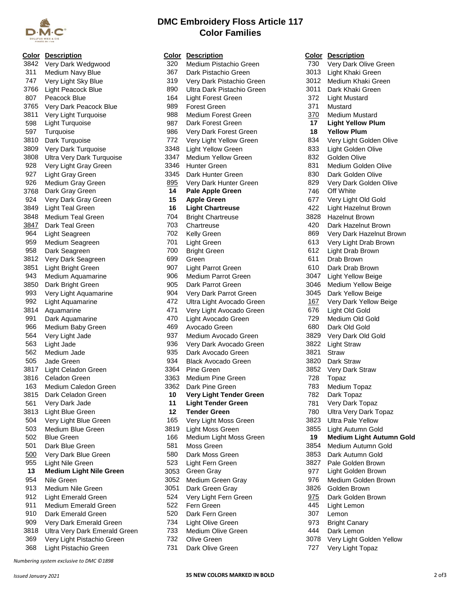

## 3842 Very Dark Wedgwood 311 Medium Navy Blue 747 Very Light Sky Blue 319 Very Dark Pistachio Green 3766 Light Peacock Blue 890 Ultra Dark Pistachio Green 807 Peacock Blue 3765 Very Dark Peacock Blue 3811 Very Light Turquoise 598 Light Turquoise 3810 Dark Turquoise 3809 Very Dark Turquoise 3808 Ultra Very Dark Turquoise 928 Very Light Gray Green 927 Light Gray Green 926 Medium Gray Green 3768 Dark Gray Green 924 Very Dark Gray Green 3849 Light Teal Green 3848 Medium Teal Green 3847 Dark Teal Green 964 Light Seagreen 959 Medium Seagreen 958 Dark Seagreen 3812 Very Dark Seagreen 3851 Light Bright Green 943 Medium Aquamarine<br>3850 Dark Bright Green Dark Bright Green 993 Very Light Aquamarine 992 Light Aquamarine 1692 Ultra Light Avocado Green 3814 Aquamarine 471 Very Light Avocado Green 676 Light Old Gold 991 Dark Aquamarine 966 Medium Baby Green 564 Very Light Jade 562 Medium Jade 3817 Light Celadon Green 3816 Celadon Green 163 Medium Caledon Green 3815 Dark Celadon Green **10 Very Light Tender Green** 561 Very Dark Jade 3813 Light Blue Green 504 Very Light Blue Green 503 Medium Blue Green 501 Dark Blue Green 500 Very Dark Blue Green 955 Light Nile Green **13 Medium Light Nile Green** 913 Medium Nile Green 912 Light Emerald Green 911 Medium Emerald Green<br>910 Dark Emerald Green Dark Emerald Green 909 Very Dark Emerald Green 3818 Ultra Very Dark Emerald Green 369 Very Light Pistachio Green

*Numbering system exclusive to DMC ©1898*

|      | <b>Color Description</b>         |      | <b>Color Description</b>   |            | <b>Color Description</b>   |
|------|----------------------------------|------|----------------------------|------------|----------------------------|
| 3842 | Very Dark Wedgwood               | 320  | Medium Pistachio Green     | 730        | Very Dark Olive Green      |
| 311  | Medium Navy Blue                 | 367  | Dark Pistachio Green       | 3013       | Light Khaki Green          |
| 747  | Very Light Sky Blue              | 319  | Very Dark Pistachio Green  | 3012       | Medium Khaki Green         |
| 3766 | Light Peacock Blue               | 890  | Ultra Dark Pistachio Green | 3011       | Dark Khaki Green           |
| 807  | Peacock Blue                     | 164  | Light Forest Green         | 372        | <b>Light Mustard</b>       |
| 3765 | Very Dark Peacock Blue           | 989  | <b>Forest Green</b>        | 371        | Mustard                    |
| 3811 | Very Light Turquoise             | 988  | Medium Forest Green        | 370        | <b>Medium Mustard</b>      |
| 598  | <b>Light Turquoise</b>           | 987  | Dark Forest Green          | 17         | <b>Light Yellow Plum</b>   |
| 597  | Turquoise                        | 986  | Very Dark Forest Green     | 18         | <b>Yellow Plum</b>         |
| 3810 | Dark Turquoise                   | 772  | Very Light Yellow Green    | 834        | Very Light Golden Olive    |
| 3809 | Very Dark Turquoise              | 3348 | <b>Light Yellow Green</b>  | 833        | Light Golden Olive         |
| 3808 | <b>Ultra Very Dark Turquoise</b> | 3347 | <b>Medium Yellow Green</b> | 832        | Golden Olive               |
| 928  | Very Light Gray Green            | 3346 | <b>Hunter Green</b>        | 831        | Medium Golden Olive        |
| 927  | Light Gray Green                 | 3345 | Dark Hunter Green          | 830        | Dark Golden Olive          |
| 926  | Medium Gray Green                | 895  | Very Dark Hunter Green     | 829        | Very Dark Golden Olive     |
| 3768 | Dark Gray Green                  | 14   | <b>Pale Apple Green</b>    | 746        | Off White                  |
| 924  | Very Dark Gray Green             | 15   | <b>Apple Green</b>         | 677        | Very Light Old Gold        |
| 3849 | <b>Light Teal Green</b>          | 16   | <b>Light Chartreuse</b>    | 422        | Light Hazelnut Brown       |
| 3848 | <b>Medium Teal Green</b>         | 704  | <b>Bright Chartreuse</b>   | 3828       | <b>Hazelnut Brown</b>      |
|      | Dark Teal Green                  | 703  |                            | 420        |                            |
| 3847 |                                  | 702  | Chartreuse                 | 869        | Dark Hazelnut Brown        |
| 964  | Light Seagreen                   |      | <b>Kelly Green</b>         |            | Very Dark Hazelnut Bro     |
| 959  | Medium Seagreen                  | 701  | Light Green                | 613        | Very Light Drab Brown      |
| 958  | Dark Seagreen                    | 700  | <b>Bright Green</b>        | 612        | Light Drab Brown           |
| 3812 | Very Dark Seagreen               | 699  | Green                      | 611        | Drab Brown                 |
| 3851 | Light Bright Green               | 907  | Light Parrot Green         | 610        | Dark Drab Brown            |
| 943  | Medium Aquamarine                | 906  | Medium Parrot Green        | 3047       | <b>Light Yellow Beige</b>  |
| 3850 | Dark Bright Green                | 905  | Dark Parrot Green          | 3046       | Medium Yellow Beige        |
| 993  | Very Light Aquamarine            | 904  | Very Dark Parrot Green     | 3045       | Dark Yellow Beige          |
| 992  | Light Aquamarine                 | 472  | Ultra Light Avocado Green  | <u>167</u> | Very Dark Yellow Beige     |
| 3814 | Aquamarine                       | 471  | Very Light Avocado Green   | 676        | Light Old Gold             |
| 991  | Dark Aquamarine                  | 470  | Light Avocado Green        | 729        | Medium Old Gold            |
| 966  | Medium Baby Green                | 469  | Avocado Green              | 680        | Dark Old Gold              |
| 564  | Very Light Jade                  | 937  | Medium Avocado Green       | 3829       | Very Dark Old Gold         |
| 563  | Light Jade                       | 936  | Very Dark Avocado Green    | 3822       | <b>Light Straw</b>         |
| 562  | Medium Jade                      | 935  | Dark Avocado Green         | 3821       | <b>Straw</b>               |
| 505  | Jade Green                       | 934  | <b>Black Avocado Green</b> | 3820       | Dark Straw                 |
| 3817 | Light Celadon Green              | 3364 | Pine Green                 | 3852       | Very Dark Straw            |
| 3816 | Celadon Green                    | 3363 | Medium Pine Green          | 728        | Topaz                      |
| 163  | Medium Caledon Green             | 3362 | Dark Pine Green            | 783        | Medium Topaz               |
| 3815 | Dark Celadon Green               | 10   | Very Light Tender Green    | 782        | Dark Topaz                 |
| 561  | Very Dark Jade                   | 11   | <b>Light Tender Green</b>  | 781        | Very Dark Topaz            |
| 3813 | Light Blue Green                 | 12   | <b>Tender Green</b>        | 780        | Ultra Very Dark Topaz      |
| 504  | Very Light Blue Green            | 165  | Very Light Moss Green      | 3823       | <b>Ultra Pale Yellow</b>   |
| 503  | Medium Blue Green                | 3819 | Light Moss Green           | 3855       | Light Autumn Gold          |
| 502  | <b>Blue Green</b>                | 166  | Medium Light Moss Green    | 19         | <b>Medium Light Autumn</b> |
| 501  | Dark Blue Green                  | 581  | Moss Green                 | 3854       | Medium Autumn Gold         |
| 500  | Very Dark Blue Green             | 580  | Dark Moss Green            | 3853       | Dark Autumn Gold           |
| 955  | Light Nile Green                 | 523  | Light Fern Green           | 3827       | Pale Golden Brown          |
| 13   | <b>Medium Light Nile Green</b>   | 3053 | Green Gray                 | 977        | Light Golden Brown         |
| 954  | Nile Green                       | 3052 | Medium Green Gray          | 976        | Medium Golden Brown        |
| 913  | Medium Nile Green                | 3051 | Dark Green Gray            | 3826       | Golden Brown               |
| 912  | <b>Light Emerald Green</b>       | 524  | Very Light Fern Green      | 975        | Dark Golden Brown          |
| 911  | Medium Emerald Green             | 522  | Fern Green                 | 445        | Light Lemon                |
| 910  | Dark Emerald Green               | 520  | Dark Fern Green            | 307        | Lemon                      |
| 909  | Very Dark Emerald Green          | 734  | Light Olive Green          | 973        | <b>Bright Canary</b>       |
| 3818 | Ultra Very Dark Emerald Green    | 733  | Medium Olive Green         | 444        | Dark Lemon                 |
| 369  |                                  | 732  |                            | 3078       |                            |
|      | Very Light Pistachio Green       | 731  | Olive Green                |            | Very Light Golden Yello    |
| 368  | Light Pistachio Green            |      | Dark Olive Green           | 727        | Very Light Topaz           |
|      |                                  |      |                            |            |                            |

|             | <u><b>Color</b></u> Description   |      | <b>Color Description</b>       |            | <b>Color Description</b>        |
|-------------|-----------------------------------|------|--------------------------------|------------|---------------------------------|
| 3842        | Very Dark Wedgwood                | 320  | Medium Pistachio Green         | 730        | Very Dark Olive Green           |
| 311         | Medium Navy Blue                  | 367  | Dark Pistachio Green           | 3013       | Light Khaki Green               |
| 747         | Very Light Sky Blue               | 319  | Very Dark Pistachio Green      | 3012       | Medium Khaki Green              |
| 3766        | <b>Light Peacock Blue</b>         | 890  | Ultra Dark Pistachio Green     | 3011       | Dark Khaki Green                |
| 807         | Peacock Blue                      | 164  | <b>Light Forest Green</b>      | 372        | <b>Light Mustard</b>            |
| 3765        | Very Dark Peacock Blue            | 989  | <b>Forest Green</b>            | 371        | Mustard                         |
| 3811        | Very Light Turquoise              | 988  | Medium Forest Green            | 370        | <b>Medium Mustard</b>           |
| 598         | <b>Light Turquoise</b>            | 987  | Dark Forest Green              | 17         | <b>Light Yellow Plum</b>        |
| 597         | Turquoise                         | 986  | Very Dark Forest Green         | 18         | <b>Yellow Plum</b>              |
| 3810        | Dark Turquoise                    | 772  | Very Light Yellow Green        | 834        | Very Light Golden Olive         |
| 3809        | Very Dark Turquoise               | 3348 | <b>Light Yellow Green</b>      | 833        | Light Golden Olive              |
| 3808        | <b>Ultra Very Dark Turquoise</b>  | 3347 | Medium Yellow Green            | 832        | Golden Olive                    |
| 928         | Very Light Gray Green             | 3346 | <b>Hunter Green</b>            | 831        | Medium Golden Olive             |
| 927         | Light Gray Green                  | 3345 | Dark Hunter Green              | 830        | Dark Golden Olive               |
| 926         | Medium Gray Green                 | 895  | Very Dark Hunter Green         | 829        | Very Dark Golden Olive          |
| 3768        | Dark Gray Green                   | 14   | <b>Pale Apple Green</b>        | 746        | Off White                       |
| 924         | Very Dark Gray Green              | 15   | <b>Apple Green</b>             | 677        | Very Light Old Gold             |
| 3849        | Light Teal Green                  | 16   | <b>Light Chartreuse</b>        | 422        | Light Hazelnut Brown            |
| 3848        | Medium Teal Green                 | 704  | <b>Bright Chartreuse</b>       | 3828       | <b>Hazelnut Brown</b>           |
| <u>3847</u> | Dark Teal Green                   | 703  | Chartreuse                     | 420        | Dark Hazelnut Brown             |
| 964         | Light Seagreen                    | 702  | <b>Kelly Green</b>             | 869        | Very Dark Hazelnut Brown        |
| 959         | Medium Seagreen                   | 701  | Light Green                    | 613        | Very Light Drab Brown           |
| 958         | Dark Seagreen                     | 700  | <b>Bright Green</b>            | 612        | Light Drab Brown                |
| 3812        | Very Dark Seagreen                | 699  | Green                          | 611        | Drab Brown                      |
| 3851        | Light Bright Green                | 907  | <b>Light Parrot Green</b>      | 610        | Dark Drab Brown                 |
| 943         | Medium Aquamarine                 | 906  | Medium Parrot Green            | 3047       | <b>Light Yellow Beige</b>       |
| 3850        | Dark Bright Green                 | 905  | Dark Parrot Green              | 3046       | Medium Yellow Beige             |
| 993         | Very Light Aquamarine             | 904  | Very Dark Parrot Green         | 3045       | Dark Yellow Beige               |
| 992         | Light Aquamarine                  | 472  | Ultra Light Avocado Green      | <u>167</u> | Very Dark Yellow Beige          |
| 3814        | Aquamarine                        | 471  | Very Light Avocado Green       | 676        | Light Old Gold                  |
| 991         | Dark Aquamarine                   | 470  | Light Avocado Green            | 729        | Medium Old Gold                 |
| 966         | Medium Baby Green                 | 469  | Avocado Green                  | 680        | Dark Old Gold                   |
| 564         | Very Light Jade                   | 937  | Medium Avocado Green           | 3829       | Very Dark Old Gold              |
| 563         | Light Jade                        | 936  | Very Dark Avocado Green        | 3822       | <b>Light Straw</b>              |
| 562         | Medium Jade                       | 935  | Dark Avocado Green             | 3821       | Straw                           |
| 505         | Jade Green                        | 934  | <b>Black Avocado Green</b>     | 3820       | Dark Straw                      |
| 3817        | Light Celadon Green               | 3364 | <b>Pine Green</b>              | 3852       | Very Dark Straw                 |
| 3816        | <b>Celadon Green</b>              | 3363 | Medium Pine Green              | 728        | Topaz                           |
| 163         | Medium Caledon Green              | 3362 | Dark Pine Green                | 783        | Medium Topaz                    |
| 3815        | Dark Celadon Green                | 10   | <b>Very Light Tender Green</b> | 782        | Dark Topaz                      |
| 561         | Very Dark Jade                    | 11   | <b>Light Tender Green</b>      | 781        | Very Dark Topaz                 |
| 3813        | Light Blue Green                  | 12   | <b>Tender Green</b>            | 780        | <b>Ultra Very Dark Topaz</b>    |
| 504         | Very Light Blue Green             | 165  | Very Light Moss Green          | 3823       | <b>Ultra Pale Yellow</b>        |
| 503         | Medium Blue Green                 | 3819 | Light Moss Green               | 3855       | Light Autumn Gold               |
| 502         | <b>Blue Green</b>                 | 166  | Medium Light Moss Green        | 19         | <b>Medium Light Autumn Gold</b> |
| 501         | Dark Blue Green                   | 581  | Moss Green                     | 3854       | Medium Autumn Gold              |
| 500         | Very Dark Blue Green              | 580  | Dark Moss Green                | 3853       | Dark Autumn Gold                |
| 955         | Light Nile Green                  | 523  | Light Fern Green               | 3827       | Pale Golden Brown               |
| 13          | <b>Medium Light Nile Green</b>    | 3053 | Green Gray                     | 977        | Light Golden Brown              |
| 954         | Nile Green                        | 3052 | Medium Green Gray              | 976        | Medium Golden Brown             |
| 913         | Medium Nile Green                 | 3051 | Dark Green Gray                | 3826       | Golden Brown                    |
| 912         | <b>Light Emerald Green</b>        | 524  | Very Light Fern Green          | 975        | Dark Golden Brown               |
| 911         | Medium Emerald Green              | 522  | Fern Green                     | 445        | Light Lemon                     |
| 910         | Dark Emerald Green                | 520  | Dark Fern Green                | 307        | Lemon                           |
| 909         | Very Dark Emerald Green           | 734  | Light Olive Green              | 973        | <b>Bright Canary</b>            |
| 3818        | Ultra Very Dark Emerald Green     | 733  | Medium Olive Green             | 444        | Dark Lemon                      |
|             | 369 - Very Light Pistachio Green. | 732  | Olive Green                    |            | 3078 Very Light Golden Yellow   |